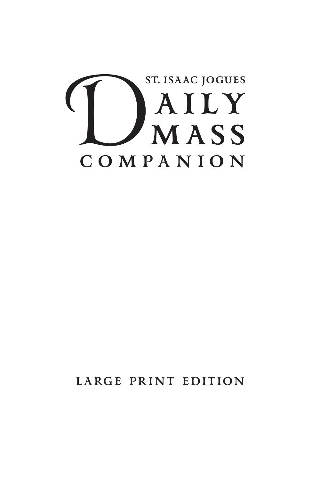

**LARGE PRINT EDITION**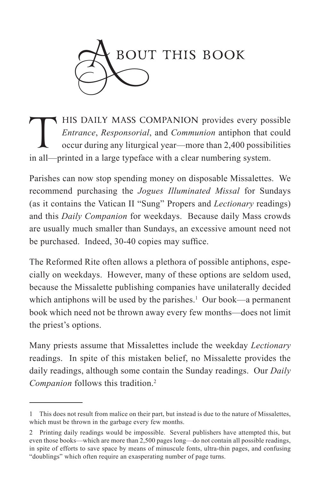

HIS DAILY MASS COMPANION provides every possible<br> *Entrance*, *Responsorial*, and *Communion* antiphon that could<br>
occur during any liturgical year—more than 2,400 possibilities<br>
in all—printed in a large type<br>face with a *Entrance*, *Responsorial*, and *Communion* antiphon that could occur during any liturgical year—more than 2,400 possibilities in all—printed in a large typeface with a clear numbering system.

Parishes can now stop spending money on disposable Missalettes. We recommend purchasing the *Jogues Illuminated Missal* for Sundays (as it contains the Vatican II "Sung" Propers and *Lectionary* readings) and this *Daily Companion* for weekdays. Because daily Mass crowds are usually much smaller than Sundays, an excessive amount need not be purchased. Indeed, 30-40 copies may suffice.

The Reformed Rite often allows a plethora of possible antiphons, especially on weekdays. However, many of these options are seldom used, because the Missalette publishing companies have unilaterally decided which antiphons will be used by the parishes.<sup>1</sup> Our book—a permanent book which need not be thrown away every few months—does not limit the priest's options.

Many priests assume that Missalettes include the weekday *Lectionary* readings. In spite of this mistaken belief, no Missalette provides the daily readings, although some contain the Sunday readings. Our *Daily Companion* follows this tradition.2

<sup>1</sup> This does not result from malice on their part, but instead is due to the nature of Missalettes, which must be thrown in the garbage every few months.

<sup>2</sup> Printing daily readings would be impossible. Several publishers have attempted this, but even those books—which are more than 2,500 pages long—do not contain all possible readings, in spite of efforts to save space by means of minuscule fonts, ultra-thin pages, and confusing "doublings" which often require an exasperating number of page turns.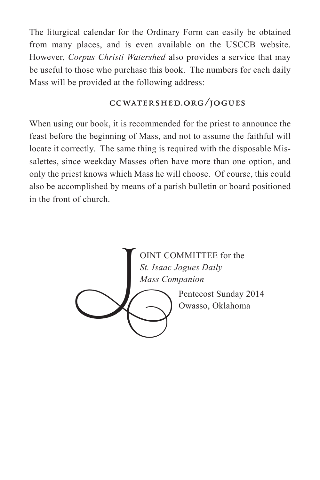The liturgical calendar for the Ordinary Form can easily be obtained from many places, and is even available on the USCCB website. However, *Corpus Christi Watershed* also provides a service that may be useful to those who purchase this book. The numbers for each daily Mass will be provided at the following address:

### **CCWATERSHED.ORG/JOGUES**

When using our book, it is recommended for the priest to announce the feast before the beginning of Mass, and not to assume the faithful will locate it correctly. The same thing is required with the disposable Missalettes, since weekday Masses often have more than one option, and only the priest knows which Mass he will choose. Of course, this could also be accomplished by means of a parish bulletin or board positioned in the front of church.

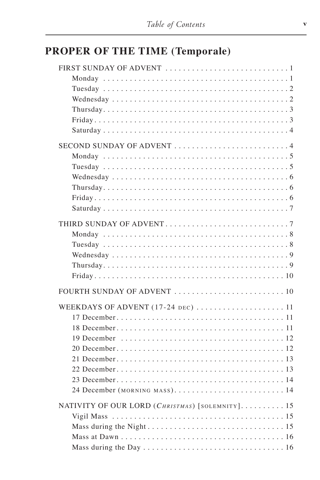# **PROPER OF THE TIME (Temporale)**

| SECOND SUNDAY OF ADVENT 4                       |
|-------------------------------------------------|
|                                                 |
|                                                 |
|                                                 |
|                                                 |
|                                                 |
|                                                 |
|                                                 |
|                                                 |
|                                                 |
|                                                 |
|                                                 |
|                                                 |
|                                                 |
|                                                 |
| WEEKDAYS OF ADVENT (17-24 DEC)  11              |
|                                                 |
|                                                 |
|                                                 |
|                                                 |
|                                                 |
|                                                 |
|                                                 |
| 24 December (MORNING MASS).  14                 |
| NATIVITY OF OUR LORD (CHRISTMAS) [SOLEMNITY] 15 |
|                                                 |
|                                                 |
|                                                 |
|                                                 |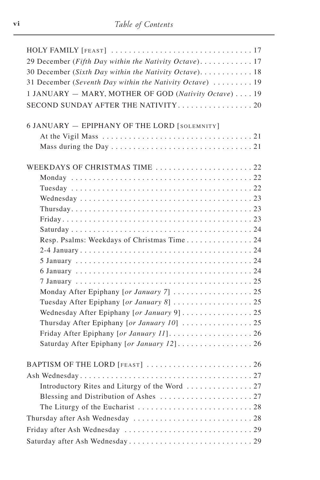| 30 December (Sixth Day within the Nativity Octave). 18<br>31 December (Seventh Day within the Nativity Octave)  19<br>1 JANUARY - MARY, MOTHER OF GOD (Nativity Octave) 19<br>SECOND SUNDAY AFTER THE NATIVITY20<br>6 JANUARY - EPIPHANY OF THE LORD [SOLEMNITY]<br>Resp. Psalms: Weekdays of Christmas Time 24<br>Monday After Epiphany [or January 7]  25<br>Wednesday After Epiphany [or January 9] 25<br>Saturday After Epiphany [or January 12] 26 |  |
|---------------------------------------------------------------------------------------------------------------------------------------------------------------------------------------------------------------------------------------------------------------------------------------------------------------------------------------------------------------------------------------------------------------------------------------------------------|--|
|                                                                                                                                                                                                                                                                                                                                                                                                                                                         |  |
|                                                                                                                                                                                                                                                                                                                                                                                                                                                         |  |
|                                                                                                                                                                                                                                                                                                                                                                                                                                                         |  |
|                                                                                                                                                                                                                                                                                                                                                                                                                                                         |  |
|                                                                                                                                                                                                                                                                                                                                                                                                                                                         |  |
|                                                                                                                                                                                                                                                                                                                                                                                                                                                         |  |
|                                                                                                                                                                                                                                                                                                                                                                                                                                                         |  |
|                                                                                                                                                                                                                                                                                                                                                                                                                                                         |  |
|                                                                                                                                                                                                                                                                                                                                                                                                                                                         |  |
|                                                                                                                                                                                                                                                                                                                                                                                                                                                         |  |
|                                                                                                                                                                                                                                                                                                                                                                                                                                                         |  |
|                                                                                                                                                                                                                                                                                                                                                                                                                                                         |  |
|                                                                                                                                                                                                                                                                                                                                                                                                                                                         |  |
|                                                                                                                                                                                                                                                                                                                                                                                                                                                         |  |
|                                                                                                                                                                                                                                                                                                                                                                                                                                                         |  |
|                                                                                                                                                                                                                                                                                                                                                                                                                                                         |  |
|                                                                                                                                                                                                                                                                                                                                                                                                                                                         |  |
|                                                                                                                                                                                                                                                                                                                                                                                                                                                         |  |
|                                                                                                                                                                                                                                                                                                                                                                                                                                                         |  |
|                                                                                                                                                                                                                                                                                                                                                                                                                                                         |  |
|                                                                                                                                                                                                                                                                                                                                                                                                                                                         |  |
|                                                                                                                                                                                                                                                                                                                                                                                                                                                         |  |
|                                                                                                                                                                                                                                                                                                                                                                                                                                                         |  |
|                                                                                                                                                                                                                                                                                                                                                                                                                                                         |  |
|                                                                                                                                                                                                                                                                                                                                                                                                                                                         |  |
|                                                                                                                                                                                                                                                                                                                                                                                                                                                         |  |
|                                                                                                                                                                                                                                                                                                                                                                                                                                                         |  |
|                                                                                                                                                                                                                                                                                                                                                                                                                                                         |  |
|                                                                                                                                                                                                                                                                                                                                                                                                                                                         |  |
|                                                                                                                                                                                                                                                                                                                                                                                                                                                         |  |
|                                                                                                                                                                                                                                                                                                                                                                                                                                                         |  |
|                                                                                                                                                                                                                                                                                                                                                                                                                                                         |  |
|                                                                                                                                                                                                                                                                                                                                                                                                                                                         |  |
|                                                                                                                                                                                                                                                                                                                                                                                                                                                         |  |
|                                                                                                                                                                                                                                                                                                                                                                                                                                                         |  |
|                                                                                                                                                                                                                                                                                                                                                                                                                                                         |  |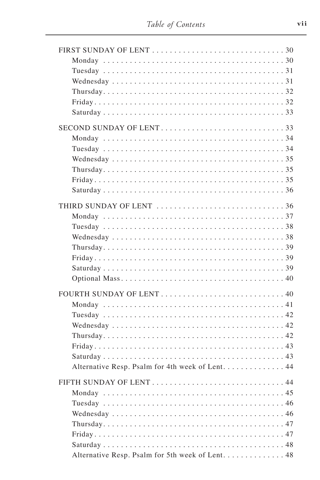| SECOND SUNDAY OF LENT33                          |
|--------------------------------------------------|
|                                                  |
|                                                  |
|                                                  |
|                                                  |
|                                                  |
|                                                  |
|                                                  |
| THIRD SUNDAY OF LENT 36                          |
|                                                  |
|                                                  |
|                                                  |
|                                                  |
|                                                  |
|                                                  |
|                                                  |
|                                                  |
|                                                  |
|                                                  |
|                                                  |
|                                                  |
|                                                  |
|                                                  |
| Alternative Resp. Psalm for 4th week of Lent. 44 |
|                                                  |
|                                                  |
|                                                  |
|                                                  |
|                                                  |
|                                                  |
|                                                  |
|                                                  |
| Alternative Resp. Psalm for 5th week of Lent. 48 |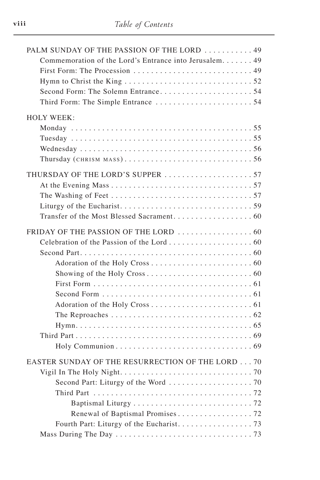| PALM SUNDAY OF THE PASSION OF THE LORD  49              |  |
|---------------------------------------------------------|--|
| Commemoration of the Lord's Entrance into Jerusalem. 49 |  |
|                                                         |  |
|                                                         |  |
|                                                         |  |
|                                                         |  |
| <b>HOLY WEEK:</b>                                       |  |
|                                                         |  |
|                                                         |  |
|                                                         |  |
|                                                         |  |
|                                                         |  |
| THURSDAY OF THE LORD'S SUPPER 57                        |  |
|                                                         |  |
|                                                         |  |
|                                                         |  |
|                                                         |  |
|                                                         |  |
|                                                         |  |
|                                                         |  |
|                                                         |  |
|                                                         |  |
|                                                         |  |
|                                                         |  |
|                                                         |  |
|                                                         |  |
|                                                         |  |
|                                                         |  |
|                                                         |  |
|                                                         |  |
| EASTER SUNDAY OF THE RESURRECTION OF THE LORD 70        |  |
|                                                         |  |
|                                                         |  |
|                                                         |  |
|                                                         |  |
|                                                         |  |
| Fourth Part: Liturgy of the Eucharist. 73               |  |
|                                                         |  |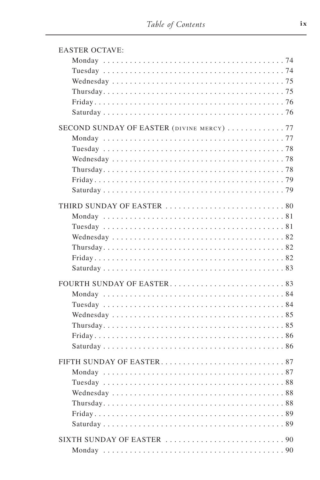| <b>EASTER OCTAVE:</b>                     |
|-------------------------------------------|
|                                           |
|                                           |
|                                           |
|                                           |
|                                           |
|                                           |
| SECOND SUNDAY OF EASTER (DIVINE MERCY) 77 |
|                                           |
|                                           |
|                                           |
|                                           |
|                                           |
|                                           |
|                                           |
|                                           |
|                                           |
|                                           |
|                                           |
|                                           |
|                                           |
|                                           |
|                                           |
|                                           |
|                                           |
|                                           |
|                                           |
|                                           |
|                                           |
|                                           |
|                                           |
|                                           |
|                                           |
|                                           |
|                                           |
|                                           |
|                                           |
|                                           |
|                                           |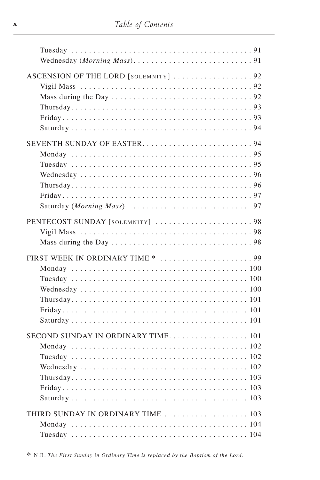| ASCENSION OF THE LORD [SOLEMNITY] 92 |
|--------------------------------------|
|                                      |
|                                      |
|                                      |
|                                      |
|                                      |
|                                      |
|                                      |
|                                      |
|                                      |
|                                      |
|                                      |
|                                      |
|                                      |
|                                      |
| PENTECOST SUNDAY [SOLEMNITY] 98      |
|                                      |
|                                      |
|                                      |
|                                      |
|                                      |
|                                      |
|                                      |
|                                      |
|                                      |
|                                      |
| SECOND SUNDAY IN ORDINARY TIME. 101  |
|                                      |
|                                      |
|                                      |
|                                      |
|                                      |
|                                      |
|                                      |
| THIRD SUNDAY IN ORDINARY TIME  103   |
|                                      |
|                                      |

\* N.B. The First Sunday in Ordinary Time is replaced by the Baptism of the Lord.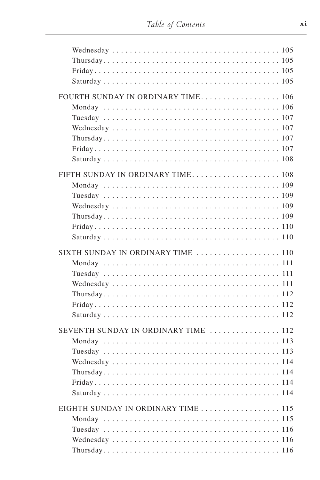| FOURTH SUNDAY IN ORDINARY TIME 106   |  |
|--------------------------------------|--|
| FIFTH SUNDAY IN ORDINARY TIME 108    |  |
| SIXTH SUNDAY IN ORDINARY TIME  110   |  |
| SEVENTH SUNDAY IN ORDINARY TIME  112 |  |
| EIGHTH SUNDAY IN ORDINARY TIME  115  |  |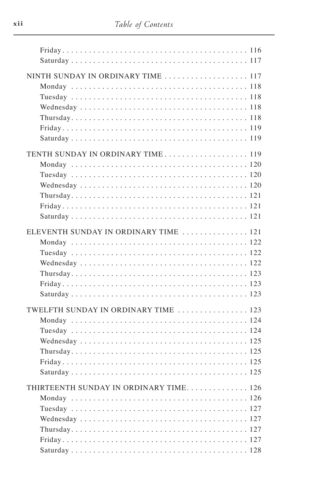| NINTH SUNDAY IN ORDINARY TIME  117     |
|----------------------------------------|
|                                        |
| TENTH SUNDAY IN ORDINARY TIME 119      |
| ELEVENTH SUNDAY IN ORDINARY TIME  121  |
|                                        |
| TWELFTH SUNDAY IN ORDINARY TIME  123   |
| THIRTEENTH SUNDAY IN ORDINARY TIME 126 |
|                                        |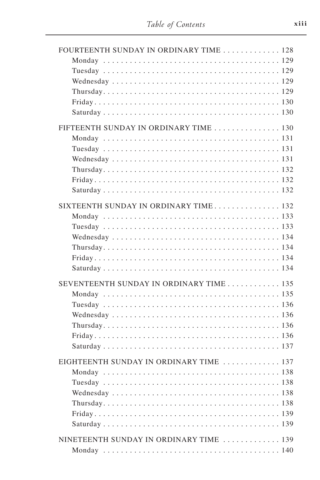| FOURTEENTH SUNDAY IN ORDINARY TIME 128   |
|------------------------------------------|
|                                          |
|                                          |
|                                          |
|                                          |
|                                          |
|                                          |
| FIFTEENTH SUNDAY IN ORDINARY TIME  130   |
|                                          |
|                                          |
|                                          |
|                                          |
|                                          |
|                                          |
|                                          |
| SIXTEENTH SUNDAY IN ORDINARY TIME 132    |
|                                          |
|                                          |
|                                          |
|                                          |
|                                          |
|                                          |
| SEVENTEENTH SUNDAY IN ORDINARY TIME  135 |
|                                          |
|                                          |
|                                          |
|                                          |
|                                          |
|                                          |
| EIGHTEENTH SUNDAY IN ORDINARY TIME  137  |
|                                          |
|                                          |
|                                          |
|                                          |
|                                          |
|                                          |
|                                          |
| NINETEENTH SUNDAY IN ORDINARY TIME  139  |
|                                          |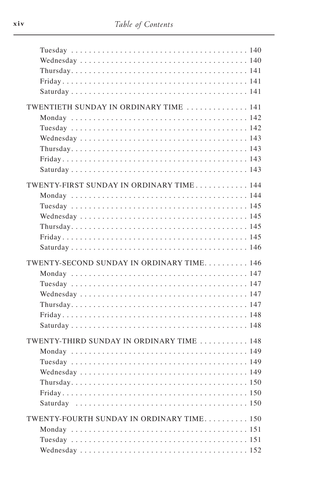| TWENTIETH SUNDAY IN ORDINARY TIME  141    |  |
|-------------------------------------------|--|
| TWENTY-FIRST SUNDAY IN ORDINARY TIME 144  |  |
| TWENTY-SECOND SUNDAY IN ORDINARY TIME 146 |  |
| TWENTY-THIRD SUNDAY IN ORDINARY TIME  148 |  |
| TWENTY-FOURTH SUNDAY IN ORDINARY TIME 150 |  |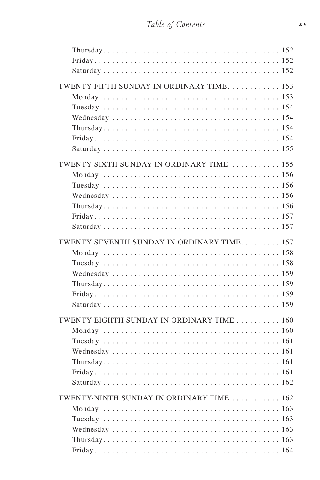| TWENTY-FIFTH SUNDAY IN ORDINARY TIME 153   |
|--------------------------------------------|
|                                            |
|                                            |
|                                            |
|                                            |
|                                            |
|                                            |
| TWENTY-SIXTH SUNDAY IN ORDINARY TIME  155  |
|                                            |
|                                            |
|                                            |
|                                            |
|                                            |
|                                            |
| TWENTY-SEVENTH SUNDAY IN ORDINARY TIME 157 |
|                                            |
|                                            |
|                                            |
|                                            |
|                                            |
|                                            |
| TWENTY-EIGHTH SUNDAY IN ORDINARY TIME  160 |
|                                            |
|                                            |
|                                            |
|                                            |
|                                            |
|                                            |
| TWENTY-NINTH SUNDAY IN ORDINARY TIME  162  |
|                                            |
|                                            |
|                                            |
|                                            |
|                                            |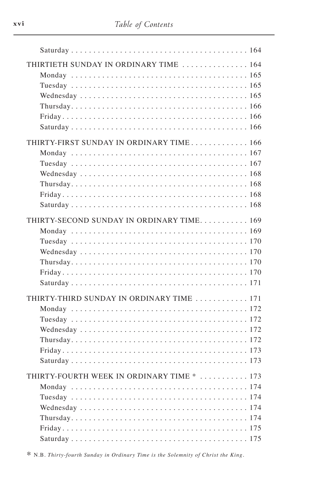| THIRTIETH SUNDAY IN ORDINARY TIME  164       |
|----------------------------------------------|
| THIRTY-FIRST SUNDAY IN ORDINARY TIME 166     |
|                                              |
|                                              |
|                                              |
|                                              |
|                                              |
| THIRTY-SECOND SUNDAY IN ORDINARY TIME 169    |
|                                              |
|                                              |
|                                              |
|                                              |
|                                              |
| THIRTY-THIRD SUNDAY IN ORDINARY TIME  171    |
|                                              |
|                                              |
|                                              |
|                                              |
|                                              |
|                                              |
| THIRTY-FOURTH WEEK IN ORDINARY TIME *<br>173 |
|                                              |
|                                              |
|                                              |
|                                              |
|                                              |

\* N.B. Thirty-fourth Sunday in Ordinary Time is the Solemnity of Christ the King.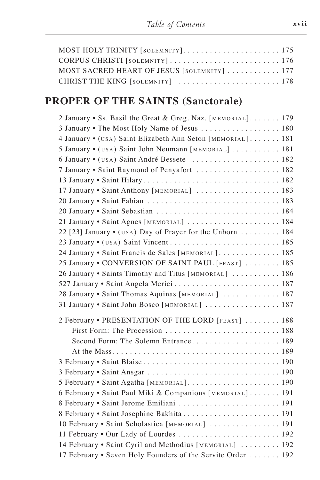| MOST HOLY TRINITY [SOLEMNITY] 175           |  |
|---------------------------------------------|--|
|                                             |  |
| MOST SACRED HEART OF JESUS [SOLEMNITY]  177 |  |
| CHRIST THE KING [SOLEMNITY]  178            |  |

# PROPER OF THE SAINTS (Sanctorale)

| 2 January • Ss. Basil the Great & Greg. Naz. [MEMORIAL] 179 |
|-------------------------------------------------------------|
| 3 January • The Most Holy Name of Jesus  180                |
| 4 January • (USA) Saint Elizabeth Ann Seton [MEMORIAL] 181  |
| 5 January • (USA) Saint John Neumann [MEMORIAL]  181        |
| 6 January • (USA) Saint André Bessete  182                  |
| 7 January • Saint Raymond of Penyafort  182                 |
|                                                             |
| 17 January • Saint Anthony [MEMORIAL]  183                  |
|                                                             |
|                                                             |
| 21 January • Saint Agnes [MEMORIAL]  184                    |
| 22 [23] January • (USA) Day of Prayer for the Unborn  184   |
|                                                             |
| 24 January • Saint Francis de Sales [MEMORIAL] 185          |
| 25 January • CONVERSION OF SAINT PAUL [FEAST]  185          |
| 26 January . Saints Timothy and Titus [MEMORIAL]  186       |
|                                                             |
| 28 January • Saint Thomas Aquinas [MEMORIAL]  187           |
| 31 January • Saint John Bosco [MEMORIAL]  187               |
| 2 February • PRESENTATION OF THE LORD [FEAST]  188          |
|                                                             |
| Second Form: The Solemn Entrance 189                        |
|                                                             |
|                                                             |
|                                                             |
| 5 February • Saint Agatha [MEMORIAL] 190                    |
| 6 February • Saint Paul Miki & Companions [MEMORIAL] 191    |
| 8 February • Saint Jerome Emiliani  191                     |
| 8 February • Saint Josephine Bakhita  191                   |
| 10 February • Saint Scholastica [MEMORIAL]  191             |
| 11 February . Our Lady of Lourdes  192                      |
| 14 February . Saint Cyril and Methodius [MEMORIAL]  192     |
| 17 February • Seven Holy Founders of the Servite Order  192 |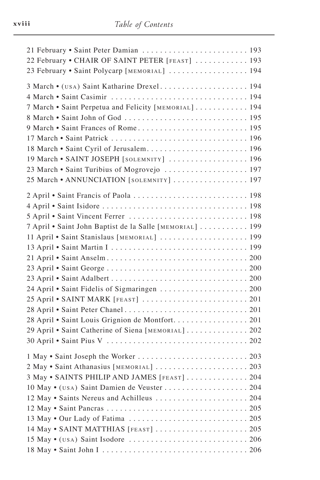| 21 February • Saint Peter Damian  193                    |
|----------------------------------------------------------|
| 22 February • CHAIR OF SAINT PETER [FEAST]  193          |
| 23 February • Saint Polycarp [MEMORIAL]  194             |
| 3 March • (USA) Saint Katharine Drexel 194               |
|                                                          |
| 7 March • Saint Perpetua and Felicity [MEMORIAL] 194     |
|                                                          |
|                                                          |
|                                                          |
| 18 March • Saint Cyril of Jerusalem 196                  |
| 19 March • SAINT JOSEPH [SOLEMNITY]  196                 |
| 23 March • Saint Turibius of Mogrovejo  197              |
| 25 March • ANNUNCIATION [SOLEMNITY]  197                 |
| 2 April . Saint Francis of Paola  198                    |
|                                                          |
| 5 April • Saint Vincent Ferrer  198                      |
| 7 April • Saint John Baptist de la Salle [MEMORIAL]  199 |
| 11 April · Saint Stanislaus [MEMORIAL]  199              |
|                                                          |
|                                                          |
|                                                          |
|                                                          |
| 24 April • Saint Fidelis of Sigmaringen  200             |
|                                                          |
|                                                          |
| 28 April • Saint Louis Grignion de Montfort. 201         |
| 29 April • Saint Catherine of Siena [MEMORIAL] 202       |
|                                                          |
|                                                          |
|                                                          |
| 2 May . Saint Athanasius [MEMORIAL]  203                 |
| 3 May • SAINTS PHILIP AND JAMES [FEAST]<br>204           |
| 10 May • (USA) Saint Damien de Veuster 204               |
| 12 May • Saints Nereus and Achilleus  204                |
|                                                          |
|                                                          |
| 14 May • SAINT MATTHIAS [FEAST]  205                     |
|                                                          |
|                                                          |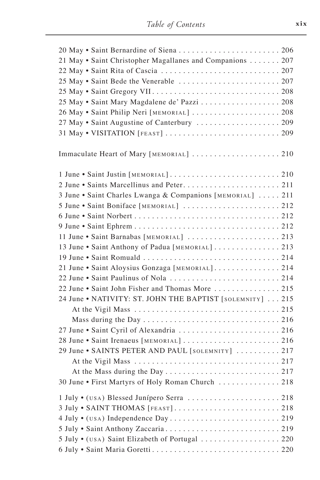| 20 May • Saint Bernardine of Siena  206                    |
|------------------------------------------------------------|
| 21 May • Saint Christopher Magallanes and Companions  207  |
|                                                            |
|                                                            |
|                                                            |
| 25 May • Saint Mary Magdalene de' Pazzi  208               |
| 26 May • Saint Philip Neri [MEMORIAL]  208                 |
| 27 May • Saint Augustine of Canterbury  209                |
|                                                            |
|                                                            |
| Immaculate Heart of Mary [MEMORIAL]  210                   |
|                                                            |
|                                                            |
|                                                            |
| 3 June • Saint Charles Lwanga & Companions [MEMORIAL]  211 |
| 5 June • Saint Boniface [MEMORIAL]  212                    |
|                                                            |
|                                                            |
| 11 June • Saint Barnabas [MEMORIAL]  213                   |
| 13 June • Saint Anthony of Padua [MEMORIAL] 213            |
|                                                            |
| 21 June · Saint Aloysius Gonzaga [MEMORIAL]214             |
|                                                            |
| 22 June • Saint John Fisher and Thomas More  215           |
| 24 June . NATIVITY: ST. JOHN THE BAPTIST [SOLEMNITY]  215  |
|                                                            |
|                                                            |
| 27 June • Saint Cyril of Alexandria  216                   |
| 28 June • Saint Irenaeus [MEMORIAL]  216                   |
| 29 June • SAINTS PETER AND PAUL [SOLEMNITY]  217           |
|                                                            |
|                                                            |
| 30 June . First Martyrs of Holy Roman Church  218          |
| 1 July • (USA) Blessed Junípero Serra  218                 |
|                                                            |
|                                                            |
|                                                            |
| 5 July • (USA) Saint Elizabeth of Portugal  220            |
|                                                            |
|                                                            |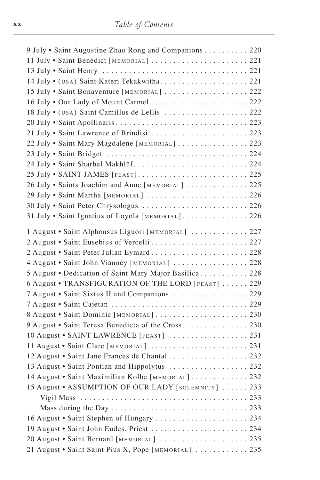| 9 July . Saint Augustine Zhao Rong and Companions 220                                          |  |
|------------------------------------------------------------------------------------------------|--|
| 11 July • Saint Benedict [MEMORIAL]  221                                                       |  |
|                                                                                                |  |
|                                                                                                |  |
| 15 July • Saint Bonaventure [MEMORIAL]  222                                                    |  |
| 16 July . Our Lady of Mount Carmel  222                                                        |  |
| 18 July • (USA) Saint Camillus de Lellis  222                                                  |  |
|                                                                                                |  |
| 21 July • Saint Lawrence of Brindisi  223                                                      |  |
| 22 July • Saint Mary Magdalene [MEMORIAL]  223                                                 |  |
|                                                                                                |  |
|                                                                                                |  |
|                                                                                                |  |
| 26 July • Saints Joachim and Anne [MEMORIAL]  225                                              |  |
| 29 July • Saint Martha [MEMORIAL] 226                                                          |  |
| 30 July • Saint Peter Chrysologus  226                                                         |  |
| 31 July . Saint Ignatius of Loyola [MEMORIAL] 226                                              |  |
| 1 August · Saint Alphonsus Liguori [MEMORIAL]  227                                             |  |
| 2 August • Saint Eusebius of Vercelli  227                                                     |  |
| 2 August • Saint Peter Julian Eymard 228                                                       |  |
| 4 August • Saint John Vianney [MEMORIAL]  228                                                  |  |
| 5 August • Dedication of Saint Mary Major Basilica 228                                         |  |
| 6 August . TRANSFIGURATION OF THE LORD [FEAST]  229                                            |  |
| 7 August • Saint Sixtus II and Companions. 229                                                 |  |
|                                                                                                |  |
|                                                                                                |  |
| 8 August · Saint Dominic [MEMORIAL]  230<br>9 August • Saint Teresa Benedicta of the Cross 230 |  |
|                                                                                                |  |
| 10 August • SAINT LAWRENCE [FEAST]  231                                                        |  |
| 11 August • Saint Clare [MEMORIAL]  231<br>12 August • Saint Jane Frances de Chantal  232      |  |
|                                                                                                |  |
| 13 August • Saint Pontian and Hippolytus  232                                                  |  |
| 14 August • Saint Maximilian Kolbe [MEMORIAL]  232                                             |  |
| 15 August • ASSUMPTION OF OUR LADY [SOLEMNITY]  233                                            |  |
|                                                                                                |  |
|                                                                                                |  |
| 16 August • Saint Stephen of Hungary  234                                                      |  |
| 19 August • Saint John Eudes, Priest  234                                                      |  |
| 20 August • Saint Bernard [MEMORIAL]  235                                                      |  |
| 21 August • Saint Saint Pius X, Pope [MEMORIAL]  235                                           |  |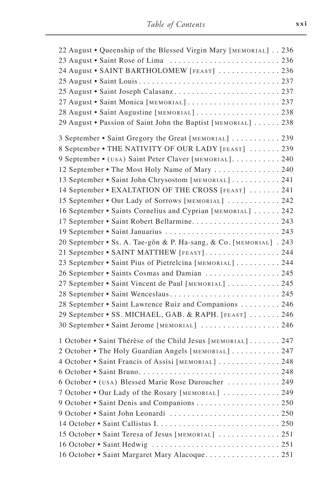| 22 August • Queenship of the Blessed Virgin Mary [MEMORIAL] 236   |
|-------------------------------------------------------------------|
|                                                                   |
| 24 August · SAINT BARTHOLOMEW [FEAST]  236                        |
|                                                                   |
| 25 August • Saint Joseph Calasanz 237                             |
|                                                                   |
| 28 August • Saint Augustine [MEMORIAL]  238                       |
| 29 August • Passion of Saint John the Baptist [MEMORIAL]  238     |
| 3 September • Saint Gregory the Great [MEMORIAL]  239             |
| 8 September • THE NATIVITY OF OUR LADY [FEAST]  239               |
| 9 September • (USA) Saint Peter Claver [MEMORIAL] 240             |
| 12 September • The Most Holy Name of Mary  240                    |
| 13 September • Saint John Chrysostom [MEMORIAL] 241               |
| 14 September • EXALTATION OF THE CROSS [FEAST]  241               |
| 15 September • Our Lady of Sorrows [MEMORIAL]  242                |
| 16 September • Saints Cornelius and Cyprian [MEMORIAL]  242       |
| 17 September • Saint Robert Bellarmine 243                        |
| 19 September • Saint Januarius  243                               |
| 20 September • Ss. A. Tae-gŏn & P. Ha-sang, & Co. [MEMORIAL]. 243 |
| 21 September • SAINT MATTHEW [FEAST] 244                          |
| 23 September • Saint Pius of Pietrelcina [MEMORIAL] 244           |
| 26 September • Saints Cosmas and Damian  245                      |
| 27 September • Saint Vincent de Paul [MEMORIAL]  245              |
| 28 September • Saint Wenceslaus 245                               |
| 28 September • Saint Lawrence Ruiz and Companions 246             |
| 29 September • SS. MICHAEL, GAB. & RAPH. [FEAST]  246             |
| 30 September • Saint Jerome [MEMORIAL]  246                       |
| 1 October • Saint Thérèse of the Child Jesus [MEMORIAL] 247       |
| 2 October • The Holy Guardian Angels [MEMORIAL]  247              |
| 4 October • Saint Francis of Assisi [MEMORIAL]  248               |
|                                                                   |
| 6 October • (USA) Blessed Marie Rose Duroucher  249               |
| 7 October . Our Lady of the Rosary [MEMORIAL]  249                |
|                                                                   |
|                                                                   |
|                                                                   |
| 15 October • Saint Teresa of Jesus [MEMORIAL]  251                |
|                                                                   |
| 16 October • Saint Margaret Mary Alacoque 251                     |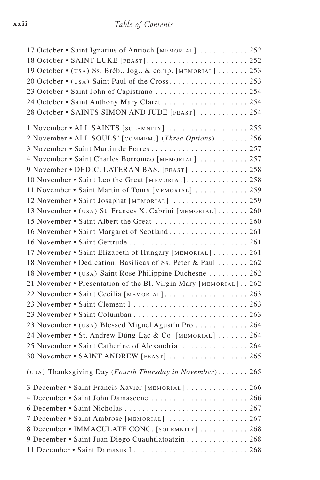| 17 October • Saint Ignatius of Antioch [MEMORIAL]  252              |  |
|---------------------------------------------------------------------|--|
|                                                                     |  |
| 19 October • (USA) Ss. Bréb., Jog., & comp. [MEMORIAL]  253         |  |
|                                                                     |  |
| 23 October • Saint John of Capistrano  254                          |  |
| 24 October • Saint Anthony Mary Claret  254                         |  |
| 28 October • SAINTS SIMON AND JUDE [FEAST]  254                     |  |
| 1 November • ALL SAINTS [SOLEMNITY]  255                            |  |
| 2 November • ALL SOULS' [COMMEM.] (Three Options)  256              |  |
| 3 November • Saint Martin de Porres 257                             |  |
| 4 November • Saint Charles Borromeo [MEMORIAL]  257                 |  |
| 9 November • DEDIC. LATERAN BAS. [FEAST]  258                       |  |
| 10 November • Saint Leo the Great [MEMORIAL] 258                    |  |
| 11 November • Saint Martin of Tours [MEMORIAL]  259                 |  |
| 12 November • Saint Josaphat [MEMORIAL]  259                        |  |
| 13 November • (USA) St. Frances X. Cabrini [MEMORIAL] 260           |  |
|                                                                     |  |
| 16 November • Saint Margaret of Scotland 261                        |  |
|                                                                     |  |
| 17 November • Saint Elizabeth of Hungary [MEMORIAL]  261            |  |
| 18 November • Dedication: Basilicas of Ss. Peter & Paul 262         |  |
| 18 November • (USA) Saint Rose Philippine Duchesne 262              |  |
| 21 November • Presentation of the Bl. Virgin Mary [MEMORIAL]. . 262 |  |
| 22 November • Saint Cecilia [MEMORIAL] 263                          |  |
| 23 November • Saint Clement I  263                                  |  |
|                                                                     |  |
| 23 November • (USA) Blessed Miguel Agustín Pro  264                 |  |
| 24 November • St. Andrew Düng-Lạc & Co. [MEMORIAL]  264             |  |
| 25 November • Saint Catherine of Alexandria. 264                    |  |
| 30 November • SAINT ANDREW [FEAST]  265                             |  |
| (USA) Thanksgiving Day (Fourth Thursday in November) 265            |  |
| 3 December • Saint Francis Xavier [MEMORIAL]  266                   |  |
| 4 December • Saint John Damascene  266                              |  |
|                                                                     |  |
| 7 December • Saint Ambrose [MEMORIAL]  267                          |  |
| 8 December • IMMACULATE CONC. [SOLEMNITY]  268                      |  |
| 9 December • Saint Juan Diego Cuauhtlatoatzin 268                   |  |
| 11 December • Saint Damasus I 268                                   |  |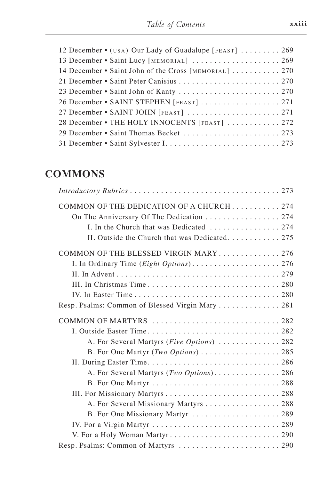| 12 December • (USA) Our Lady of Guadalupe [FEAST]  269 |
|--------------------------------------------------------|
| 13 December • Saint Lucy [MEMORIAL]  269               |
| 14 December • Saint John of the Cross [MEMORIAL]  270  |
|                                                        |
|                                                        |
| 26 December • SAINT STEPHEN [FEAST]  271               |
| 27 December • SAINT JOHN [FEAST]  271                  |
| 28 December • THE HOLY INNOCENTS [FEAST]  272          |
| 29 December • Saint Thomas Becket  273                 |
|                                                        |

# **COMMONS**

| COMMON OF THE DEDICATION OF A CHURCH274<br>On The Anniversary Of The Dedication 274<br>I. In the Church that was Dedicated  274<br>II. Outside the Church that was Dedicated 275 |
|----------------------------------------------------------------------------------------------------------------------------------------------------------------------------------|
| COMMON OF THE BLESSED VIRGIN MARY276                                                                                                                                             |
|                                                                                                                                                                                  |
| Resp. Psalms: Common of Blessed Virgin Mary 281                                                                                                                                  |
| COMMON OF MARTYRS 282<br>A. For Several Martyrs (Five Options)  282<br>B. For One Martyr (Two Options)  285                                                                      |
|                                                                                                                                                                                  |
|                                                                                                                                                                                  |
| A. For Several Missionary Martyrs 288                                                                                                                                            |
| B. For One Missionary Martyr  289                                                                                                                                                |
|                                                                                                                                                                                  |
|                                                                                                                                                                                  |
| Resp. Psalms: Common of Martyrs  290                                                                                                                                             |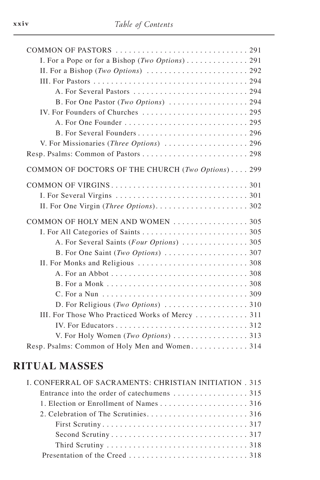| I. For a Pope or for a Bishop (Two Options) 291                                |
|--------------------------------------------------------------------------------|
|                                                                                |
|                                                                                |
|                                                                                |
|                                                                                |
| IV. For Founders of Churches  295                                              |
|                                                                                |
|                                                                                |
| V. For Missionaries (Three Options)  296                                       |
|                                                                                |
| COMMON OF DOCTORS OF THE CHURCH (Two Options) 299                              |
|                                                                                |
|                                                                                |
|                                                                                |
| COMMON OF HOLY MEN AND WOMEN 305                                               |
|                                                                                |
|                                                                                |
|                                                                                |
|                                                                                |
|                                                                                |
|                                                                                |
|                                                                                |
| D. For Religious (Two Options) $\ldots \ldots \ldots \ldots \ldots \ldots$ 310 |
| III. For Those Who Practiced Works of Mercy  311                               |
|                                                                                |
| V. For Holy Women (Two Options) 313                                            |
| Resp. Psalms: Common of Holy Men and Women 314                                 |

### **RITUAL MASSES**

| I. CONFERRAL OF SACRAMENTS: CHRISTIAN INITIATION . 315 |  |
|--------------------------------------------------------|--|
|                                                        |  |
|                                                        |  |
|                                                        |  |
|                                                        |  |
|                                                        |  |
|                                                        |  |
|                                                        |  |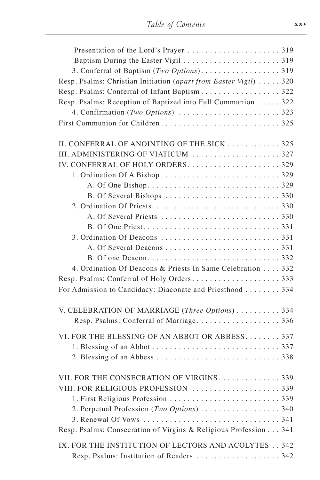| Resp. Psalms: Christian Initiation (apart from Easter Vigil)  320 |  |
|-------------------------------------------------------------------|--|
| Resp. Psalms: Conferral of Infant Baptism322                      |  |
| Resp. Psalms: Reception of Baptized into Full Communion  322      |  |
|                                                                   |  |
|                                                                   |  |
|                                                                   |  |
| II. CONFERRAL OF ANOINTING OF THE SICK  325                       |  |
|                                                                   |  |
|                                                                   |  |
|                                                                   |  |
|                                                                   |  |
|                                                                   |  |
|                                                                   |  |
|                                                                   |  |
|                                                                   |  |
|                                                                   |  |
|                                                                   |  |
|                                                                   |  |
| 4. Ordination Of Deacons & Priests In Same Celebration 332        |  |
|                                                                   |  |
| For Admission to Candidacy: Diaconate and Priesthood 334          |  |
|                                                                   |  |
| V. CELEBRATION OF MARRIAGE (Three Options)  334                   |  |
|                                                                   |  |
| VI. FOR THE BLESSING OF AN ABBOT OR ABBESS 337                    |  |
|                                                                   |  |
|                                                                   |  |
|                                                                   |  |
| VII. FOR THE CONSECRATION OF VIRGINS.<br>$\ldots \ldots 339$      |  |
| VIII. FOR RELIGIOUS PROFESSION  339                               |  |
|                                                                   |  |
| 2. Perpetual Profession (Two Options)  340                        |  |
|                                                                   |  |
| Resp. Psalms: Consecration of Virgins & Religious Profession 341  |  |
|                                                                   |  |
| IX. FOR THE INSTITUTION OF LECTORS AND ACOLYTES 342               |  |
|                                                                   |  |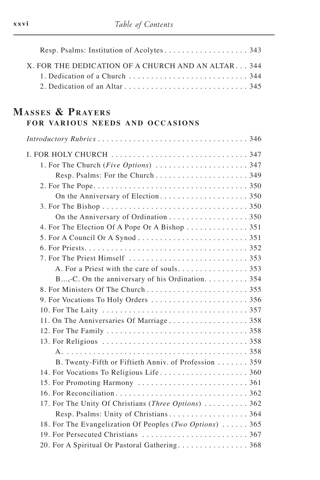| X. FOR THE DEDICATION OF A CHURCH AND AN ALTAR 344                                                |  |
|---------------------------------------------------------------------------------------------------|--|
|                                                                                                   |  |
| 2. Dedication of an Altar $\ldots$ , $\ldots$ , $\ldots$ , $\ldots$ , $\ldots$ , $\ldots$ , $345$ |  |

#### **MASSES & PRAYERS** FOR VARIOUS NEEDS AND OCCASIONS

| On the Anniversary of Ordination 350                     |
|----------------------------------------------------------|
| 4. For The Election Of A Pope Or A Bishop  351           |
|                                                          |
|                                                          |
|                                                          |
| A. For a Priest with the care of souls. 353              |
| B,-C. On the anniversary of his Ordination 354           |
|                                                          |
|                                                          |
|                                                          |
|                                                          |
|                                                          |
|                                                          |
|                                                          |
| B. Twenty-Fifth or Fiftieth Anniv. of Profession 359     |
| 14. For Vocations To Religious Life 360                  |
|                                                          |
|                                                          |
| 17. For The Unity Of Christians (Three Options)  362     |
| Resp. Psalms: Unity of Christians364                     |
| 18. For The Evangelization Of Peoples (Two Options)  365 |
|                                                          |
| 20. For A Spiritual Or Pastoral Gathering 368            |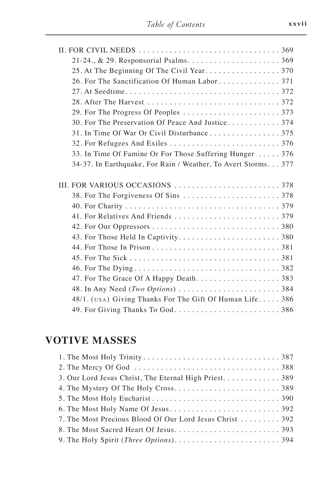| 30. For The Preservation Of Peace And Justice 374              |
|----------------------------------------------------------------|
| 31. In Time Of War Or Civil Disturbance 375                    |
|                                                                |
| 33. In Time Of Famine Or For Those Suffering Hunger  376       |
| 34-37. In Earthquake, For Rain / Weather, To Avert Storms. 377 |
|                                                                |
|                                                                |
|                                                                |
|                                                                |
|                                                                |
|                                                                |
|                                                                |
|                                                                |
|                                                                |
|                                                                |
|                                                                |
|                                                                |
|                                                                |
| 48/1. (USA) Giving Thanks For The Gift Of Human Life 386       |

# **VOTIVE MASSES**

| 3. Our Lord Jesus Christ, The Eternal High Priest. 389   |
|----------------------------------------------------------|
|                                                          |
|                                                          |
|                                                          |
| 7. The Most Precious Blood Of Our Lord Jesus Christ  392 |
|                                                          |
|                                                          |